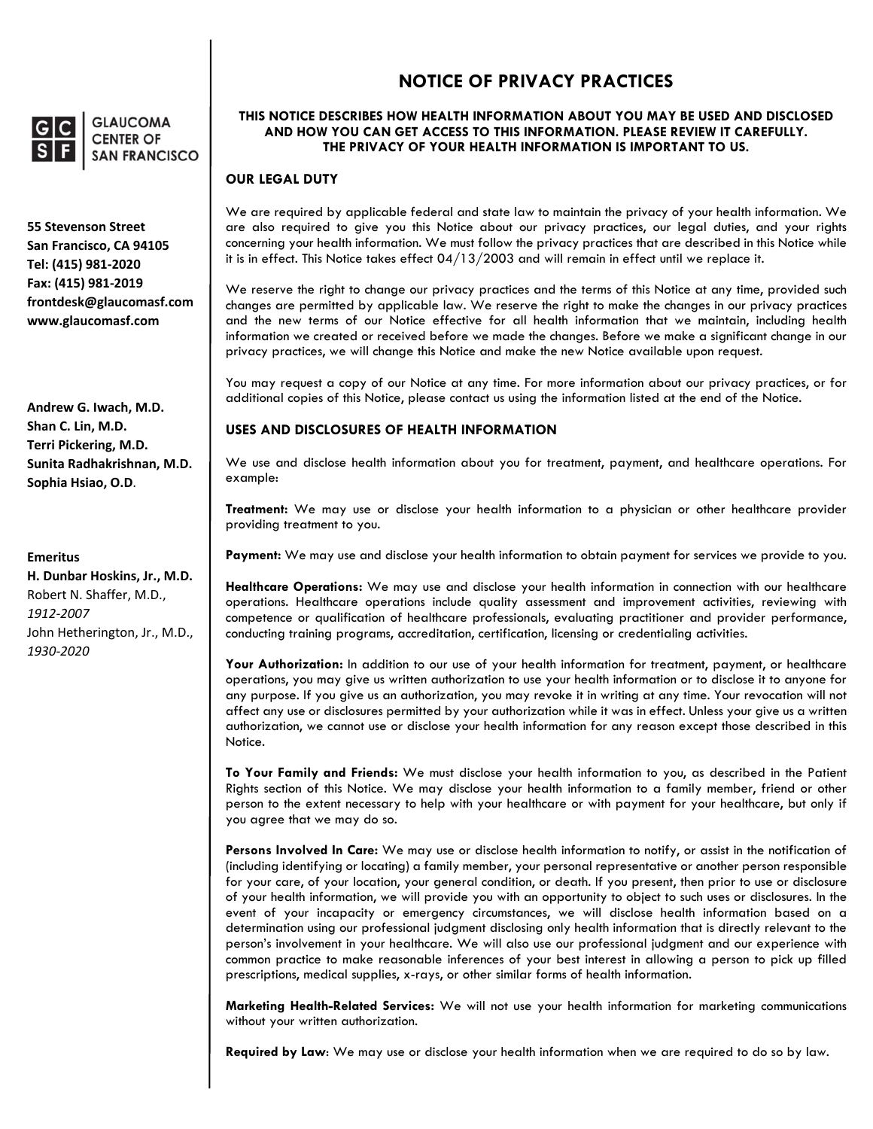

**GLAUCOMA CENTER OF SAN FRANCISCO** 

**55 Stevenson Street San Francisco, CA 94105 Tel: (415) 981‐2020 Fax: (415) 981‐2019 frontdesk@glaucomasf.com www.glaucomasf.com**

**Andrew G. Iwach, M.D. Shan C. Lin, M.D. Terri Pickering, M.D. Sunita Radhakrishnan, M.D. Sophia Hsiao, O.D**.

#### **Emeritus**

**H. Dunbar Hoskins, Jr., M.D.** Robert N. Shaffer, M.D., *1912‐2007* John Hetherington, Jr., M.D., *1930‐2020*

# **NOTICE OF PRIVACY PRACTICES**

### **THIS NOTICE DESCRIBES HOW HEALTH INFORMATION ABOUT YOU MAY BE USED AND DISCLOSED AND HOW YOU CAN GET ACCESS TO THIS INFORMATION. PLEASE REVIEW IT CAREFULLY. THE PRIVACY OF YOUR HEALTH INFORMATION IS IMPORTANT TO US.**

#### **OUR LEGAL DUTY**

We are required by applicable federal and state law to maintain the privacy of your health information. We are also required to give you this Notice about our privacy practices, our legal duties, and your rights concerning your health information. We must follow the privacy practices that are described in this Notice while it is in effect. This Notice takes effect 04/13/2003 and will remain in effect until we replace it.

We reserve the right to change our privacy practices and the terms of this Notice at any time, provided such changes are permitted by applicable law. We reserve the right to make the changes in our privacy practices and the new terms of our Notice effective for all health information that we maintain, including health information we created or received before we made the changes. Before we make a significant change in our privacy practices, we will change this Notice and make the new Notice available upon request.

You may request a copy of our Notice at any time. For more information about our privacy practices, or for additional copies of this Notice, please contact us using the information listed at the end of the Notice.

#### **USES AND DISCLOSURES OF HEALTH INFORMATION**

We use and disclose health information about you for treatment, payment, and healthcare operations. For example:

**Treatment:** We may use or disclose your health information to a physician or other healthcare provider providing treatment to you.

**Payment:** We may use and disclose your health information to obtain payment for services we provide to you.

**Healthcare Operations:** We may use and disclose your health information in connection with our healthcare operations. Healthcare operations include quality assessment and improvement activities, reviewing with competence or qualification of healthcare professionals, evaluating practitioner and provider performance, conducting training programs, accreditation, certification, licensing or credentialing activities.

**Your Authorization:** In addition to our use of your health information for treatment, payment, or healthcare operations, you may give us written authorization to use your health information or to disclose it to anyone for any purpose. If you give us an authorization, you may revoke it in writing at any time. Your revocation will not affect any use or disclosures permitted by your authorization while it was in effect. Unless your give us a written authorization, we cannot use or disclose your health information for any reason except those described in this Notice.

**To Your Family and Friends:** We must disclose your health information to you, as described in the Patient Rights section of this Notice. We may disclose your health information to a family member, friend or other person to the extent necessary to help with your healthcare or with payment for your healthcare, but only if you agree that we may do so.

**Persons Involved In Care:** We may use or disclose health information to notify, or assist in the notification of (including identifying or locating) a family member, your personal representative or another person responsible for your care, of your location, your general condition, or death. If you present, then prior to use or disclosure of your health information, we will provide you with an opportunity to object to such uses or disclosures. In the event of your incapacity or emergency circumstances, we will disclose health information based on a determination using our professional judgment disclosing only health information that is directly relevant to the person's involvement in your healthcare. We will also use our professional judgment and our experience with common practice to make reasonable inferences of your best interest in allowing a person to pick up filled prescriptions, medical supplies, x-rays, or other similar forms of health information.

**Marketing Health-Related Services:** We will not use your health information for marketing communications without your written authorization.

**Required by Law**: We may use or disclose your health information when we are required to do so by law.